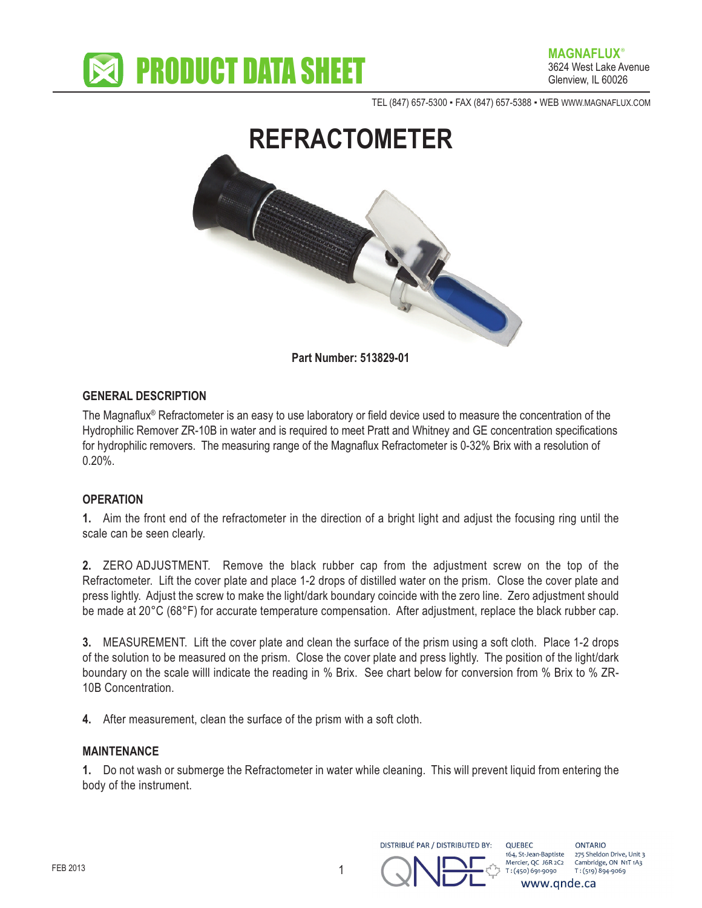

TEL (847) 657-5300 - FAX (847) 657-5388 - WEB WWW.MAGNAFLUX.COM



**Part Number: 513829-01**

## **GENERAL DESCRIPTION**

The Magnaflux® Refractometer is an easy to use laboratory or field device used to measure the concentration of the Hydrophilic Remover ZR-10B in water and is required to meet Pratt and Whitney and GE concentration specifications for hydrophilic removers. The measuring range of the Magnaflux Refractometer is 0-32% Brix with a resolution of 0.20%.

## **OPERATION**

**1.** Aim the front end of the refractometer in the direction of a bright light and adjust the focusing ring until the scale can be seen clearly.

**2.** ZERO ADJUSTMENT. Remove the black rubber cap from the adjustment screw on the top of the Refractometer. Lift the cover plate and place 1-2 drops of distilled water on the prism. Close the cover plate and press lightly. Adjust the screw to make the light/dark boundary coincide with the zero line. Zero adjustment should be made at 20°C (68°F) for accurate temperature compensation. After adjustment, replace the black rubber cap.

**3.** MEASUREMENT. Lift the cover plate and clean the surface of the prism using a soft cloth. Place 1-2 drops of the solution to be measured on the prism. Close the cover plate and press lightly. The position of the light/dark boundary on the scale willl indicate the reading in % Brix. See chart below for conversion from % Brix to % ZR-10B Concentration.

**4.** After measurement, clean the surface of the prism with a soft cloth.

## **MAINTENANCE**

**1.** Do not wash or submerge the Refractometer in water while cleaning. This will prevent liquid from entering the body of the instrument.



**OUFBEC** 164. St-Jean-Baptiste Mercier, QC J6R 2C2 T: (450) 691-9090 www.gnde.ca